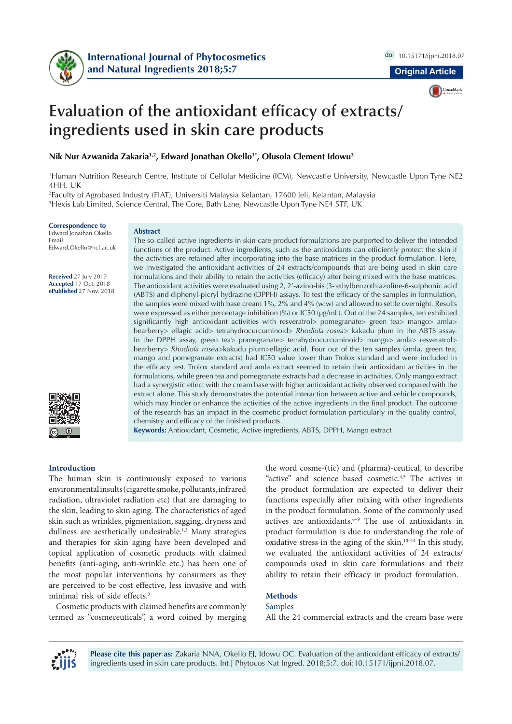



# **Evaluation of the antioxidant efficacy of extracts/ ingredients used in skin care products**

**Nik Nur Azwanida Zakaria1,2, Edward Jonathan Okello1\*, Olusola Clement Idowu3**

1 Human Nutrition Research Centre, Institute of Cellular Medicine (ICM), Newcastle University, Newcastle Upon Tyne NE2 4HH, UK

2 Faculty of Agrobased Industry (FIAT), Universiti Malaysia Kelantan, 17600 Jeli, Kelantan, Malaysia 3 Hexis Lab Limited, Science Central, The Core, Bath Lane, Newcastle Upon Tyne NE4 5TF, UK

#### **Correspondence to**

Edward Jonathan Okello Email: Edward.Okello@ncl.ac.uk

**Received** 27 July 2017 **Accepted** 17 Oct. 2018 **ePublished** 27 Nov. 2018



#### **Abstract**

The so-called active ingredients in skin care product formulations are purported to deliver the intended functions of the product. Active ingredients, such as the antioxidants can efficiently protect the skin if the activities are retained after incorporating into the base matrices in the product formulation. Here, we investigated the antioxidant activities of 24 extracts/compounds that are being used in skin care formulations and their ability to retain the activities (efficacy) after being mixed with the base matrices. The antioxidant activities were evaluated using 2, 2'-azino-bis (3- ethylbenzothiazoline-6-sulphonic acid (ABTS) and diphenyl-picryl hydrazine (DPPH) assays. To test the efficacy of the samples in formulation, the samples were mixed with base cream 1%, 2% and 4% (w:w) and allowed to settle overnight. Results were expressed as either percentage inhibition (%) or IC50 (µg/mL). Out of the 24 samples, ten exhibited significantly high antioxidant activities with resveratrol> pomegranate> green tea> mango> amla> bearberry> ellagic acid> tetrahydrocurcuminoid> *Rhodiola rosea*> kakadu plum in the ABTS assay. In the DPPH assay, green tea> pomegranate> tetrahydrocurcuminoid> mango> amla> resveratrol> bearberry> *Rhodiola rosea*>kakudu plum>ellagic acid. Four out of the ten samples (amla, green tea, mango and pomegranate extracts) had IC50 value lower than Trolox standard and were included in the efficacy test. Trolox standard and amla extract seemed to retain their antioxidant activities in the formulations, while green tea and pomegranate extracts had a decrease in activities. Only mango extract had a synergistic effect with the cream base with higher antioxidant activity observed compared with the extract alone. This study demonstrates the potential interaction between active and vehicle compounds, which may hinder or enhance the activities of the active ingredients in the final product. The outcome of the research has an impact in the cosmetic product formulation particularly in the quality control, chemistry and efficacy of the finished products.

**Keywords:** Antioxidant, Cosmetic, Active ingredients, ABTS, DPPH, Mango extract

#### **Introduction**

The human skin is continuously exposed to various environmental insults (cigarette smoke, pollutants, infrared radiation, ultraviolet radiation etc) that are damaging to the skin, leading to skin aging. The characteristics of aged skin such as wrinkles, pigmentation, sagging, dryness and dullness are aesthetically undesirable.<sup>1,2</sup> Many strategies and therapies for skin aging have been developed and topical application of cosmetic products with claimed benefits (anti-aging, anti-wrinkle etc.) has been one of the most popular interventions by consumers as they are perceived to be cost effective, less invasive and with minimal risk of side effects.3

Cosmetic products with claimed benefits are commonly termed as "cosmeceuticals", a word coined by merging

the word cosme-(tic) and (pharma)-ceutical, to describe "active" and science based cosmetic.4,5 The actives in the product formulation are expected to deliver their functions especially after mixing with other ingredients in the product formulation. Some of the commonly used actives are antioxidants.<sup>6-9</sup> The use of antioxidants in product formulation is due to understanding the role of oxidative stress in the aging of the skin. $10-14$  In this study, we evaluated the antioxidant activities of 24 extracts/ compounds used in skin care formulations and their ability to retain their efficacy in product formulation.

#### **Methods**

### Samples

All the 24 commercial extracts and the cream base were

**Please cite this paper as:** Zakaria NNA, Okello EJ, Idowu OC. Evaluation of the antioxidant efficacy of extracts/ ingredients used in skin care products. Int J Phytocos Nat Ingred. 2018;5:7. doi:10.15171/ijpni.2018.07.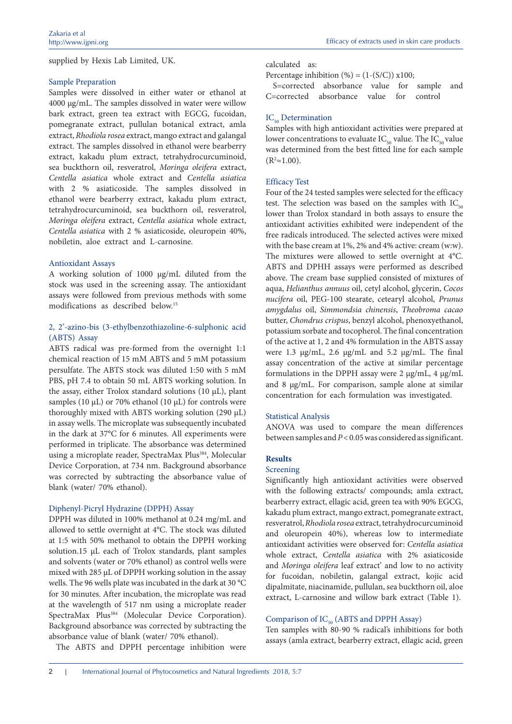supplied by Hexis Lab Limited, UK.

## Sample Preparation

Samples were dissolved in either water or ethanol at 4000 µg/mL. The samples dissolved in water were willow bark extract, green tea extract with EGCG, fucoidan, pomegranate extract, pullulan botanical extract, amla extract, *Rhodiola rosea* extract, mango extract and galangal extract. The samples dissolved in ethanol were bearberry extract, kakadu plum extract, tetrahydrocurcuminoid, sea buckthorn oil, resveratrol, *Moringa oleifera* extract, *Centella asiatica* whole extract and *Centella asiatica* with 2 % asiaticoside. The samples dissolved in ethanol were bearberry extract, kakadu plum extract, tetrahydrocurcuminoid, sea buckthorn oil, resveratrol, *Moringa oleifera* extract, *Centella asiatica* whole extract, *Centella asiatica* with 2 % asiaticoside, oleuropein 40%, nobiletin, aloe extract and L-carnosine.

## Antioxidant Assays

A working solution of 1000 µg/mL diluted from the stock was used in the screening assay. The antioxidant assays were followed from previous methods with some modifications as described below.15

## 2, 2'-azino-bis (3-ethylbenzothiazoline-6-sulphonic acid (ABTS) Assay

ABTS radical was pre-formed from the overnight 1:1 chemical reaction of 15 mM ABTS and 5 mM potassium persulfate. The ABTS stock was diluted 1:50 with 5 mM PBS, pH 7.4 to obtain 50 mL ABTS working solution. In the assay, either Trolox standard solutions (10  $\mu$ L), plant samples (10 µL) or 70% ethanol (10 µL) for controls were thoroughly mixed with ABTS working solution (290 µL) in assay wells. The microplate was subsequently incubated in the dark at 37°C for 6 minutes. All experiments were performed in triplicate. The absorbance was determined using a microplate reader, SpectraMax Plus<sup>384</sup>, Molecular Device Corporation, at 734 nm. Background absorbance was corrected by subtracting the absorbance value of blank (water/ 70% ethanol).

# Diphenyl-Picryl Hydrazine (DPPH) Assay

DPPH was diluted in 100% methanol at 0.24 mg/mL and allowed to settle overnight at 4°C. The stock was diluted at 1:5 with 50% methanol to obtain the DPPH working solution.15 µL each of Trolox standards, plant samples and solvents (water or 70% ethanol) as control wells were mixed with 285 µL of DPPH working solution in the assay wells. The 96 wells plate was incubated in the dark at 30 °C for 30 minutes. After incubation, the microplate was read at the wavelength of 517 nm using a microplate reader SpectraMax Plus<sup>384</sup> (Molecular Device Corporation). Background absorbance was corrected by subtracting the absorbance value of blank (water/ 70% ethanol).

The ABTS and DPPH percentage inhibition were

#### calculated as:

Percentage inhibition  $(\%) = (1-(S/C)) \times 100;$ 

S=corrected absorbance value for sample and C=corrected absorbance value for control

# IC<sub>50</sub> Determination

Samples with high antioxidant activities were prepared at lower concentrations to evaluate  $IC_{50}$  value. The  $IC_{50}$  value was determined from the best fitted line for each sample  $(R^2 \approx 1.00)$ .

# Efficacy Test

Four of the 24 tested samples were selected for the efficacy test. The selection was based on the samples with  $IC_{50}$ lower than Trolox standard in both assays to ensure the antioxidant activities exhibited were independent of the free radicals introduced. The selected actives were mixed with the base cream at 1%, 2% and 4% active: cream (w:w). The mixtures were allowed to settle overnight at 4°C. ABTS and DPHH assays were performed as described above. The cream base supplied consisted of mixtures of aqua, *Helianthus annuus* oil, cetyl alcohol, glycerin, *Cocos nucifera* oil, PEG-100 stearate, cetearyl alcohol, *Prunus amygdalus* oil, *Simmondsia chinensis*, *Theobroma cacao* butter, *Chondrus crispus*, benzyl alcohol, phenoxyethanol, potassium sorbate and tocopherol. The final concentration of the active at 1, 2 and 4% formulation in the ABTS assay were 1.3 µg/mL, 2.6 µg/mL and 5.2 µg/mL. The final assay concentration of the active at similar percentage formulations in the DPPH assay were  $2 \mu g/mL$ ,  $4 \mu g/mL$ and 8 µg/mL. For comparison, sample alone at similar concentration for each formulation was investigated.

# Statistical Analysis

ANOVA was used to compare the mean differences between samples and *P*<0.05 was considered as significant.

# **Results**

#### Screening

Significantly high antioxidant activities were observed with the following extracts/ compounds; amla extract, bearberry extract, ellagic acid, green tea with 90% EGCG, kakadu plum extract, mango extract, pomegranate extract, resveratrol, *Rhodiola rosea* extract, tetrahydrocurcuminoid and oleuropein 40%), whereas low to intermediate antioxidant activities were observed for: *Centella asiatica* whole extract, *Centella asiatica* with 2% asiaticoside and *Moringa oleifera* leaf extract' and low to no activity for fucoidan, nobiletin, galangal extract, kojic acid dipalmitate, niacinamide, pullulan, sea buckthorn oil, aloe extract, L-carnosine and willow bark extract (Table 1).

# Comparison of  $IC_{50}$  (ABTS and DPPH Assay)

Ten samples with 80-90 % radical's inhibitions for both assays (amla extract, bearberry extract, ellagic acid, green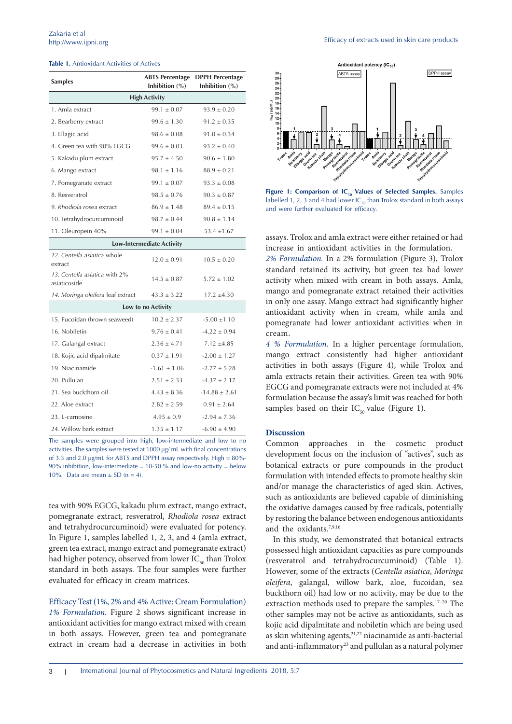| <b>Table 1.</b> Antioxidant Activities of Actives |
|---------------------------------------------------|
|---------------------------------------------------|

| <b>Samples</b>                                | <b>ABTS Percentage</b><br>Inhibition $(\%)$ | <b>DPPH Percentage</b><br>Inhibition $(\%)$ |  |
|-----------------------------------------------|---------------------------------------------|---------------------------------------------|--|
| <b>High Activity</b>                          |                                             |                                             |  |
| 1. Amla extract                               | $99.1 \pm 0.07$                             | $93.9 \pm 0.20$                             |  |
| 2. Bearberry extract                          | $99.6 \pm 1.30$                             | $91.2 \pm 0.35$                             |  |
| 3. Ellagic acid                               | $98.6 \pm 0.08$                             | $91.0 \pm 0.34$                             |  |
| 4. Green tea with 90% EGCG                    | $99.6 \pm 0.03$                             | $93.2 \pm 0.40$                             |  |
| 5. Kakadu plum extract                        | $95.7 \pm 4.50$                             | $90.6 \pm 1.80$                             |  |
| 6. Mango extract                              | $98.1 \pm 1.16$                             | $88.9 \pm 0.21$                             |  |
| 7. Pomegranate extract                        | $99.1 \pm 0.07$                             | $93.3 \pm 0.08$                             |  |
| 8. Resveratrol                                | $98.5 \pm 0.76$                             | $90.3 \pm 0.87$                             |  |
| 9. Rhodiola rosea extract                     | $86.9 \pm 1.48$                             | $89.4 \pm 0.15$                             |  |
| 10. Tetrahydrocurcuminoid                     | $98.7 \pm 0.44$                             | $90.8 \pm 1.14$                             |  |
| 11. Oleuropein 40%                            | $99.1 \pm 0.04$                             | $53.4 \pm 1.67$                             |  |
| <b>Low-Intermediate Activity</b>              |                                             |                                             |  |
| 12. Centella asiatica whole<br>extract        | $12.0 \pm 0.91$                             | $10.5 \pm 0.20$                             |  |
| 13. Centella asiatica with 2%<br>asiaticoside | $14.5 \pm 0.87$                             | $5.72 \pm 1.02$                             |  |
| 14. Moringa oleifera leaf extract             | $43.3 \pm 3.22$                             | $17.2 \pm 4.30$                             |  |
| Low to no Activity                            |                                             |                                             |  |
| 15. Fucoidan (brown seaweed)                  | $10.2 \pm 2.37$                             | $-5.00 \pm 1.10$                            |  |
| 16. Nobiletin                                 | $9.76 \pm 0.41$                             | $-4.22 \pm 0.94$                            |  |
| 17. Galangal extract                          | $2.36 \pm 4.71$                             | $7.12 \pm 4.85$                             |  |
| 18. Kojic acid dipalmitate                    | $0.37 \pm 1.91$                             | $-2.00 \pm 1.27$                            |  |
| 19. Niacinamide                               | $-1.61 \pm 1.06$                            | $-2.77 \pm 5.28$                            |  |
| 20. Pullulan                                  | $2.51 \pm 2.33$                             | $-4.37 \pm 2.17$                            |  |
| 21. Sea buckthorn oil                         | $4.43 \pm 8.36$                             | $-14.88 \pm 2.61$                           |  |
| 22. Aloe extract                              | $2.82 \pm 2.59$                             | $0.91 \pm 2.64$                             |  |
| 23. L-carnosine                               | $4.95 \pm 0.9$                              | $-2.94 \pm 7.36$                            |  |
| 24. Willow bark extract                       | $1.35 \pm 1.17$                             | $-6.90 \pm 4.90$                            |  |

The samples were grouped into high, low-intermediate and low to no activities. The samples were tested at 1000 µg/ mL with final concentrations of 3.3 and 2.0 µg/mL for ABTS and DPPH assay respectively. High = 80%- 90% inhibition, low-intermediate = 10-50 % and low-no activity = below 10%. Data are mean  $\pm$  SD (n = 4).

tea with 90% EGCG, kakadu plum extract, mango extract, pomegranate extract, resveratrol, *Rhodiola rosea* extract and tetrahydrocurcuminoid) were evaluated for potency. In Figure 1, samples labelled 1, 2, 3, and 4 (amla extract, green tea extract, mango extract and pomegranate extract) had higher potency, observed from lower  $IC_{50}$  than Trolox standard in both assays. The four samples were further evaluated for efficacy in cream matrices.

Efficacy Test (1%, 2% and 4% Active: Cream Formulation) *1% Formulation.* Figure 2 shows significant increase in antioxidant activities for mango extract mixed with cream in both assays. However, green tea and pomegranate extract in cream had a decrease in activities in both



Figure 1: Comparison of IC<sub>50</sub> Values of Selected Samples. Samples labelled 1, 2, 3 and 4 had lower  $IC_{50}$  than Trolox standard in both assays and were further evaluated for efficacy.

assays. Trolox and amla extract were either retained or had increase in antioxidant activities in the formulation.

*2% Formulation.* In a 2% formulation (Figure 3), Trolox standard retained its activity, but green tea had lower activity when mixed with cream in both assays. Amla, mango and pomegranate extract retained their activities in only one assay. Mango extract had significantly higher antioxidant activity when in cream, while amla and pomegranate had lower antioxidant activities when in cream.

*4 % Formulation.* In a higher percentage formulation, mango extract consistently had higher antioxidant activities in both assays (Figure 4), while Trolox and amla extracts retain their activities. Green tea with 90% EGCG and pomegranate extracts were not included at 4% formulation because the assay's limit was reached for both samples based on their  $IC_{50}$  value (Figure 1).

#### **Discussion**

Common approaches in the cosmetic product development focus on the inclusion of "actives", such as botanical extracts or pure compounds in the product formulation with intended effects to promote healthy skin and/or manage the characteristics of aged skin. Actives, such as antioxidants are believed capable of diminishing the oxidative damages caused by free radicals, potentially by restoring the balance between endogenous antioxidants and the oxidants.7,9,16

In this study, we demonstrated that botanical extracts possessed high antioxidant capacities as pure compounds (resveratrol and tetrahydrocurcuminoid) (Table 1). However, some of the extracts (*Centella asiatica*, *Moringa oleifera*, galangal, willow bark, aloe, fucoidan, sea buckthorn oil) had low or no activity, may be due to the extraction methods used to prepare the samples.<sup>17-20</sup> The other samples may not be active as antioxidants, such as kojic acid dipalmitate and nobiletin which are being used as skin whitening agents, $21,22$  niacinamide as anti-bacterial and anti-inflammatory<sup>23</sup> and pullulan as a natural polymer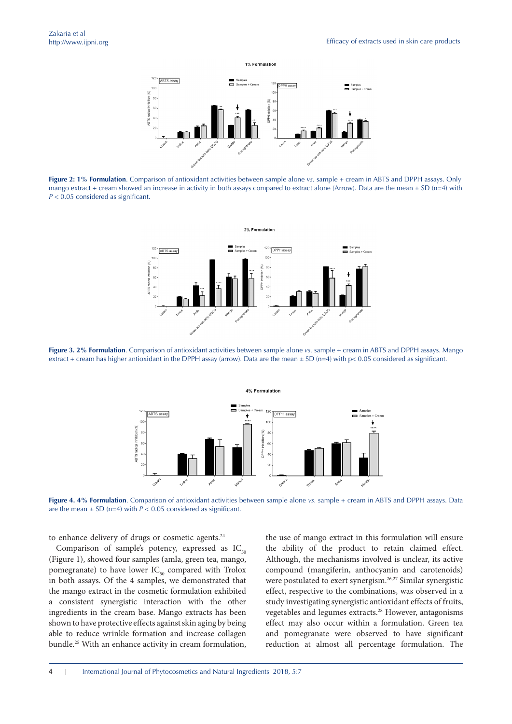

**Figure 2: 1% Formulation**. Comparison of antioxidant activities between sample alone *vs.* sample + cream in ABTS and DPPH assays. Only mango extract + cream showed an increase in activity in both assays compared to extract alone (Arrow). Data are the mean  $\pm$  SD (n=4) with *P* < 0.05 considered as significant.



**Figure 3. 2% Formulation**. Comparison of antioxidant activities between sample alone *vs.* sample + cream in ABTS and DPPH assays. Mango extract + cream has higher antioxidant in the DPPH assay (arrow). Data are the mean  $\pm$  SD (n=4) with p< 0.05 considered as significant.



**Figure 4. 4% Formulation**. Comparison of antioxidant activities between sample alone *vs.* sample + cream in ABTS and DPPH assays. Data are the mean  $\pm$  SD (n=4) with  $P < 0.05$  considered as significant.

to enhance delivery of drugs or cosmetic agents.<sup>24</sup>

Comparison of sample's potency, expressed as  $IC_{50}$ (Figure 1), showed four samples (amla, green tea, mango, pomegranate) to have lower  $IC_{50}$  compared with Trolox in both assays. Of the 4 samples, we demonstrated that the mango extract in the cosmetic formulation exhibited a consistent synergistic interaction with the other ingredients in the cream base. Mango extracts has been shown to have protective effects against skin aging by being able to reduce wrinkle formation and increase collagen bundle.25 With an enhance activity in cream formulation,

the use of mango extract in this formulation will ensure the ability of the product to retain claimed effect. Although, the mechanisms involved is unclear, its active compound (mangiferin, anthocyanin and carotenoids) were postulated to exert synergism.<sup>26,27</sup> Similar synergistic effect, respective to the combinations, was observed in a study investigating synergistic antioxidant effects of fruits, vegetables and legumes extracts.28 However, antagonisms effect may also occur within a formulation. Green tea and pomegranate were observed to have significant reduction at almost all percentage formulation. The